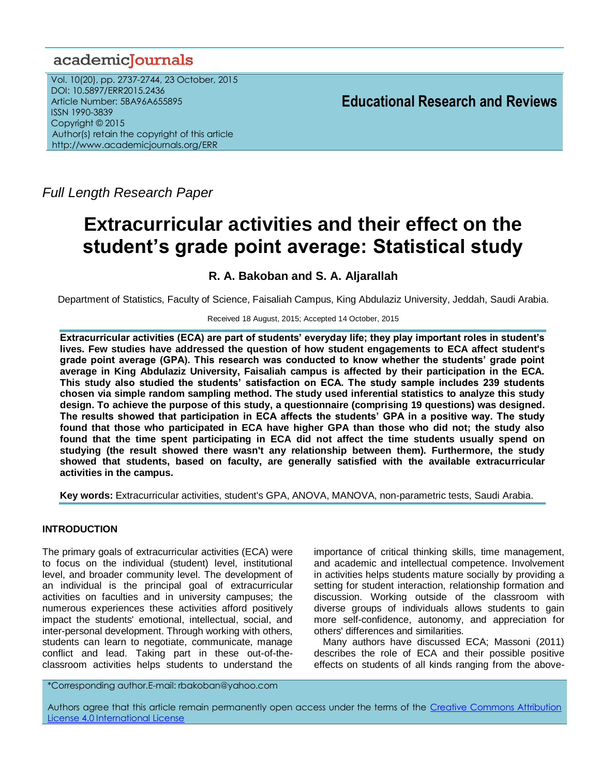## academiclournals

Vol. 10(20), pp. 2737-2744, 23 October, 2015 DOI: 10.5897/ERR2015.2436 Article Number: 5BA96A655895 ISSN 1990-3839 Copyright © 2015 Author(s) retain the copyright of this article http://www.academicjournals.org/ERR

**Educational Research and Reviews**

*Full Length Research Paper*

# **Extracurricular activities and their effect on the student's grade point average: Statistical study**

## **R. A. Bakoban and S. A. Aljarallah**

Department of Statistics, Faculty of Science, Faisaliah Campus, King Abdulaziz University, Jeddah, Saudi Arabia.

#### Received 18 August, 2015; Accepted 14 October, 2015

**Extracurricular activities (ECA) are part of students' everyday life; they play important roles in student's lives. Few studies have addressed the question of how student engagements to ECA affect student's grade point average (GPA). This research was conducted to know whether the students' grade point average in King Abdulaziz University, Faisaliah campus is affected by their participation in the ECA. This study also studied the students' satisfaction on ECA. The study sample includes 239 students chosen via simple random sampling method. The study used inferential statistics to analyze this study design. To achieve the purpose of this study, a questionnaire (comprising 19 questions) was designed. The results showed that participation in ECA affects the students' GPA in a positive way. The study found that those who participated in ECA have higher GPA than those who did not; the study also found that the time spent participating in ECA did not affect the time students usually spend on studying (the result showed there wasn't any relationship between them). Furthermore, the study showed that students, based on faculty, are generally satisfied with the available extracurricular activities in the campus.** 

**Key words:** Extracurricular activities, student's GPA, ANOVA, MANOVA, non-parametric tests, Saudi Arabia.

## **INTRODUCTION**

The primary goals of extracurricular activities (ECA) were to focus on the individual (student) level, institutional level, and broader community level. The development of an individual is the principal goal of extracurricular activities on faculties and in university campuses; the numerous experiences these activities afford positively impact the students' emotional, intellectual, social, and inter-personal development. Through working with others, students can learn to negotiate, communicate, manage conflict and lead. Taking part in these out-of-theclassroom activities helps students to understand the

importance of critical thinking skills, time management, and academic and intellectual competence. Involvement in activities helps students mature socially by providing a setting for student interaction, relationship formation and discussion. Working outside of the classroom with diverse groups of individuals allows students to gain more self-confidence, autonomy, and appreciation for others' differences and similarities.

Many authors have discussed ECA; Massoni (2011) describes the role of ECA and their possible positive effects on students of all kinds ranging from the above-

\*Corresponding author.E-mail: rbakoban@yahoo.com

Authors agree that this article remain permanently open access under the terms of the [Creative Commons Attribution](file://192.168.1.24/reading/Arts%20and%20Education/ERR/2014/sept/read/Correction%20Pdf%201/ERR-17.04.14-1816/Publication/Creative%20Co)  [License 4.0 International License](file://192.168.1.24/reading/Arts%20and%20Education/ERR/2014/sept/read/Correction%20Pdf%201/ERR-17.04.14-1816/Publication/Creative%20Co)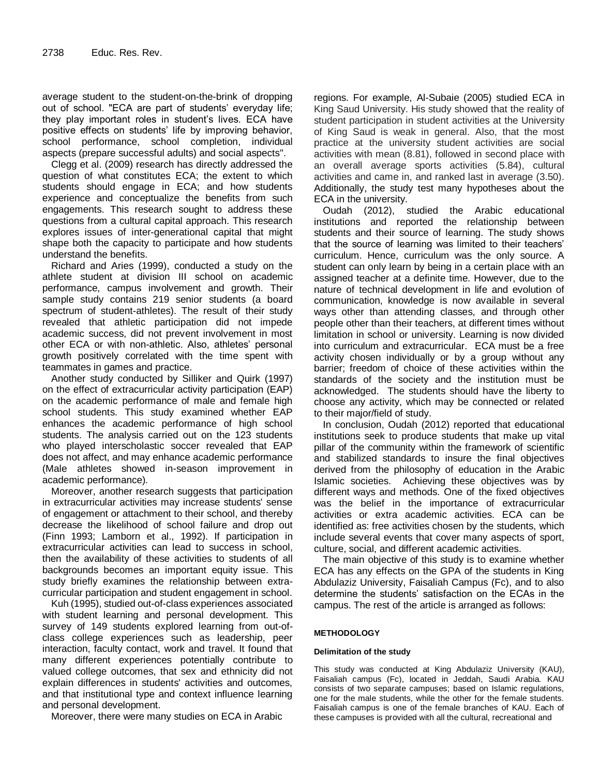average student to the student-on-the-brink of dropping out of school. "ECA are part of students' everyday life; they play important roles in student's lives. ECA have positive effects on students' life by improving behavior, school performance, school completion, individual aspects (prepare successful adults) and social aspects".

Clegg et al. (2009) research has directly addressed the question of what constitutes ECA; the extent to which students should engage in ECA; and how students experience and conceptualize the benefits from such engagements. This research sought to address these questions from a cultural capital approach. This research explores issues of inter-generational capital that might shape both the capacity to participate and how students understand the benefits.

Richard and Aries (1999), conducted a study on the athlete student at division III school on academic performance, campus involvement and growth. Their sample study contains 219 senior students (a board spectrum of student-athletes). The result of their study revealed that athletic participation did not impede academic success, did not prevent involvement in most other ECA or with non-athletic. Also, athletes' personal growth positively correlated with the time spent with teammates in games and practice.

Another study conducted by Silliker and Quirk (1997) on the effect of extracurricular activity participation (EAP) on the academic performance of male and female high school students. This study examined whether EAP enhances the academic performance of high school students. The analysis carried out on the 123 students who played interscholastic soccer revealed that EAP does not affect, and may enhance academic performance (Male athletes showed in-season improvement in academic performance).

Moreover, another research suggests that participation in extracurricular activities may increase students' sense of engagement or attachment to their school, and thereby decrease the likelihood of school failure and drop out (Finn 1993; Lamborn et al., 1992). If participation in extracurricular activities can lead to success in school, then the availability of these activities to students of all backgrounds becomes an important equity issue. This study briefly examines the relationship between extracurricular participation and student engagement in school.

Kuh (1995), studied out-of-class experiences associated with student learning and personal development. This survey of 149 students explored learning from out-ofclass college experiences such as leadership, peer interaction, faculty contact, work and travel. It found that many different experiences potentially contribute to valued college outcomes, that sex and ethnicity did not explain differences in students' activities and outcomes, and that institutional type and context influence learning and personal development.

Moreover, there were many studies on ECA in Arabic

regions. For example, Al-Subaie (2005) studied ECA in King Saud University. His study showed that the reality of student participation in student activities at the University of King Saud is weak in general. Also, that the most practice at the university student activities are social activities with mean (8.81), followed in second place with an overall average sports activities (5.84), cultural activities and came in, and ranked last in average (3.50). Additionally, the study test many hypotheses about the ECA in the university.

Oudah (2012), studied the Arabic educational institutions and reported the relationship between students and their source of learning. The study shows that the source of learning was limited to their teachers' curriculum. Hence, curriculum was the only source. A student can only learn by being in a certain place with an assigned teacher at a definite time. However, due to the nature of technical development in life and evolution of communication, knowledge is now available in several ways other than attending classes, and through other people other than their teachers, at different times without limitation in school or university. Learning is now divided into curriculum and extracurricular. ECA must be a free activity chosen individually or by a group without any barrier; freedom of choice of these activities within the standards of the society and the institution must be acknowledged. The students should have the liberty to choose any activity, which may be connected or related to their major/field of study.

In conclusion, Oudah (2012) reported that educational institutions seek to produce students that make up vital pillar of the community within the framework of scientific and stabilized standards to insure the final objectives derived from the philosophy of education in the Arabic Islamic societies. Achieving these objectives was by different ways and methods. One of the fixed objectives was the belief in the importance of extracurricular activities or extra academic activities. ECA can be identified as: free activities chosen by the students, which include several events that cover many aspects of sport, culture, social, and different academic activities.

The main objective of this study is to examine whether ECA has any effects on the GPA of the students in King Abdulaziz University, Faisaliah Campus (Fc), and to also determine the students' satisfaction on the ECAs in the campus. The rest of the article is arranged as follows:

#### **METHODOLOGY**

#### **Delimitation of the study**

This study was conducted at King Abdulaziz University (KAU), Faisaliah campus (Fc), located in Jeddah, Saudi Arabia. KAU consists of two separate campuses; based on Islamic regulations, one for the male students, while the other for the female students. Faisaliah campus is one of the female branches of KAU. Each of these campuses is provided with all the cultural, recreational and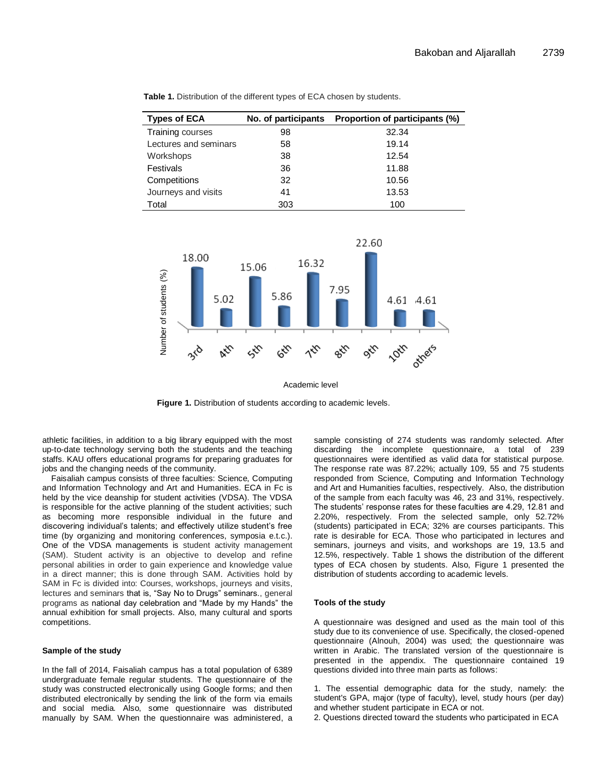| <b>Types of ECA</b>   | No. of participants | Proportion of participants (%) |
|-----------------------|---------------------|--------------------------------|
| Training courses      | 98                  | 32.34                          |
| Lectures and seminars | 58                  | 19.14                          |
| Workshops             | 38                  | 12.54                          |
| Festivals             | 36                  | 11.88                          |
| Competitions          | 32                  | 10.56                          |
| Journeys and visits   | 41                  | 13.53                          |
| Total                 | 303                 | 100                            |

**Table 1.** Distribution of the different types of ECA chosen by students.



**Figure 1.** Distribution of students according to academic levels.

athletic facilities, in addition to a big library equipped with the most up-to-date technology serving both the students and the teaching staffs. KAU offers educational programs for preparing graduates for jobs and the changing needs of the community.

Faisaliah campus consists of three faculties: Science, Computing and Information Technology and Art and Humanities. ECA in Fc is held by the vice deanship for student activities (VDSA). The VDSA is responsible for the active planning of the student activities; such as becoming more responsible individual in the future and discovering individual's talents; and effectively utilize student's free time (by organizing and monitoring conferences, symposia e.t.c.). One of the VDSA managements is student activity management (SAM). Student activity is an objective to develop and refine personal abilities in order to gain experience and knowledge value in a direct manner; this is done through SAM. Activities hold by SAM in Fc is divided into: Courses, workshops, journeys and visits, lectures and seminars that is, "Say No to Drugs" seminars., general programs as national day celebration and "Made by my Hands" the annual exhibition for small projects. Also, many cultural and sports competitions.

#### **Sample of the study**

In the fall of 2014, Faisaliah campus has a total population of 6389 undergraduate female regular students. The questionnaire of the study was constructed electronically using Google forms; and then distributed electronically by sending the link of the form via emails and social media. Also, some questionnaire was distributed manually by SAM. When the questionnaire was administered, a sample consisting of 274 students was randomly selected. After discarding the incomplete questionnaire, a total of 239 questionnaires were identified as valid data for statistical purpose. The response rate was 87.22%; actually 109, 55 and 75 students responded from Science, Computing and Information Technology and Art and Humanities faculties, respectively. Also, the distribution of the sample from each faculty was 46, 23 and 31%, respectively. The students' response rates for these faculties are 4.29, 12.81 and 2.20%, respectively. From the selected sample, only 52.72% (students) participated in ECA; 32% are courses participants. This rate is desirable for ECA. Those who participated in lectures and seminars, journeys and visits, and workshops are 19, 13.5 and 12.5%, respectively. Table 1 shows the distribution of the different types of ECA chosen by students. Also, Figure 1 presented the distribution of students according to academic levels.

#### **Tools of the study**

A questionnaire was designed and used as the main tool of this study due to its convenience of use. Specifically, the closed-opened questionnaire (Alnouh, 2004) was used; the questionnaire was written in Arabic. The translated version of the questionnaire is presented in the appendix. The questionnaire contained 19 questions divided into three main parts as follows:

1. The essential demographic data for the study, namely: the student's GPA, major (type of faculty), level, study hours (per day) and whether student participate in ECA or not.

2. Questions directed toward the students who participated in ECA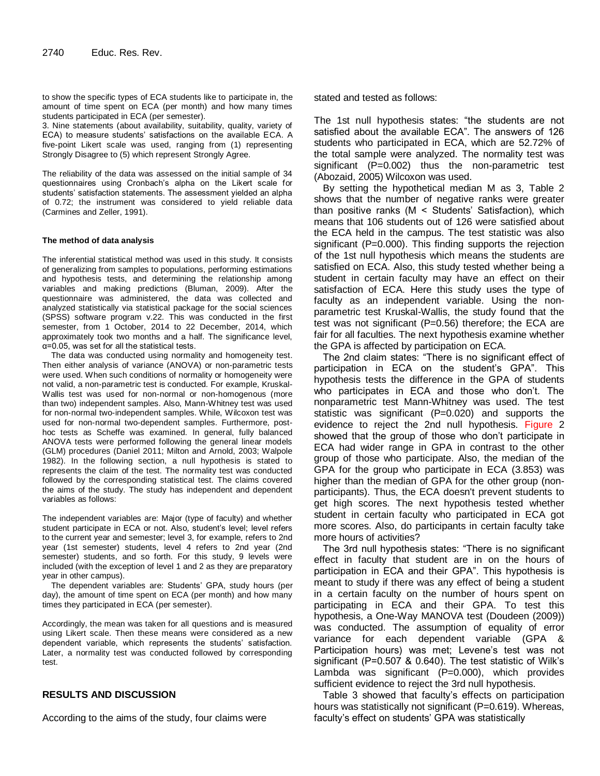to show the specific types of ECA students like to participate in, the amount of time spent on ECA (per month) and how many times students participated in ECA (per semester).

3. Nine statements (about availability, suitability, quality, variety of ECA) to measure students' satisfactions on the available ECA. A five-point Likert scale was used, ranging from (1) representing Strongly Disagree to (5) which represent Strongly Agree.

The reliability of the data was assessed on the initial sample of 34 questionnaires using Cronbach's alpha on the Likert scale for students' satisfaction statements. The assessment yielded an alpha of 0.72; the instrument was considered to yield reliable data (Carmines and Zeller, 1991).

#### **The method of data analysis**

The inferential statistical method was used in this study. It consists of generalizing from samples to populations, performing estimations and hypothesis tests, and determining the relationship among variables and making predictions (Bluman, 2009). After the questionnaire was administered, the data was collected and analyzed statistically via statistical package for the social sciences (SPSS) software program v.22. This was conducted in the first semester, from 1 October, 2014 to 22 December, 2014, which approximately took two months and a half. The significance level, α=0.05, was set for all the statistical tests.

The data was conducted using normality and homogeneity test. Then either analysis of variance (ANOVA) or non-parametric tests were used. When such conditions of normality or homogeneity were not valid, a non-parametric test is conducted. For example, Kruskal-Wallis test was used for non-normal or non-homogenous (more than two) independent samples. Also, Mann-Whitney test was used for non-normal two-independent samples. While, Wilcoxon test was used for non-normal two-dependent samples. Furthermore, posthoc tests as Scheffe was examined. In general, fully balanced ANOVA tests were performed following the general linear models (GLM) procedures (Daniel 2011; Milton and Arnold, 2003; Walpole 1982). In the following section, a null hypothesis is stated to represents the claim of the test. The normality test was conducted followed by the corresponding statistical test. The claims covered the aims of the study. The study has independent and dependent variables as follows:

The independent variables are: Major (type of faculty) and whether student participate in ECA or not. Also, student's level; level refers to the current year and semester; level 3, for example, refers to 2nd year (1st semester) students, level 4 refers to 2nd year (2nd semester) students, and so forth. For this study, 9 levels were included (with the exception of level 1 and 2 as they are preparatory year in other campus).

The dependent variables are: Students' GPA, study hours (per day), the amount of time spent on ECA (per month) and how many times they participated in ECA (per semester).

Accordingly, the mean was taken for all questions and is measured using Likert scale. Then these means were considered as a new dependent variable, which represents the students' satisfaction. Later, a normality test was conducted followed by corresponding test.

## **RESULTS AND DISCUSSION**

According to the aims of the study, four claims were

stated and tested as follows:

The 1st null hypothesis states: "the students are not satisfied about the available ECA". The answers of 126 students who participated in ECA, which are 52.72% of the total sample were analyzed. The normality test was significant (P=0.002) thus the non-parametric test (Abozaid, 2005) Wilcoxon was used.

By setting the hypothetical median M as 3, Table 2 shows that the number of negative ranks were greater than positive ranks (M < Students' Satisfaction), which means that 106 students out of 126 were satisfied about the ECA held in the campus. The test statistic was also significant (P=0.000). This finding supports the rejection of the 1st null hypothesis which means the students are satisfied on ECA. Also, this study tested whether being a student in certain faculty may have an effect on their satisfaction of ECA. Here this study uses the type of faculty as an independent variable. Using the nonparametric test Kruskal-Wallis, the study found that the test was not significant (P=0.56) therefore; the ECA are fair for all faculties. The next hypothesis examine whether the GPA is affected by participation on ECA.

The 2nd claim states: "There is no significant effect of participation in ECA on the student's GPA". This hypothesis tests the difference in the GPA of students who participates in ECA and those who don't. The nonparametric test Mann-Whitney was used. The test statistic was significant (P=0.020) and supports the evidence to reject the 2nd null hypothesis. Figure 2 showed that the group of those who don't participate in ECA had wider range in GPA in contrast to the other group of those who participate. Also, the median of the GPA for the group who participate in ECA (3.853) was higher than the median of GPA for the other group (nonparticipants). Thus, the ECA doesn't prevent students to get high scores. The next hypothesis tested whether student in certain faculty who participated in ECA got more scores. Also, do participants in certain faculty take more hours of activities?

The 3rd null hypothesis states: "There is no significant effect in faculty that student are in on the hours of participation in ECA and their GPA". This hypothesis is meant to study if there was any effect of being a student in a certain faculty on the number of hours spent on participating in ECA and their GPA. To test this hypothesis, a One-Way MANOVA test (Doudeen (2009)) was conducted. The assumption of equality of error variance for each dependent variable (GPA & Participation hours) was met; Levene's test was not significant (P=0.507 & 0.640). The test statistic of Wilk's Lambda was significant (P=0.000), which provides sufficient evidence to reject the 3rd null hypothesis.

Table 3 showed that faculty's effects on participation hours was statistically not significant (P=0.619). Whereas, faculty's effect on students' GPA was statistically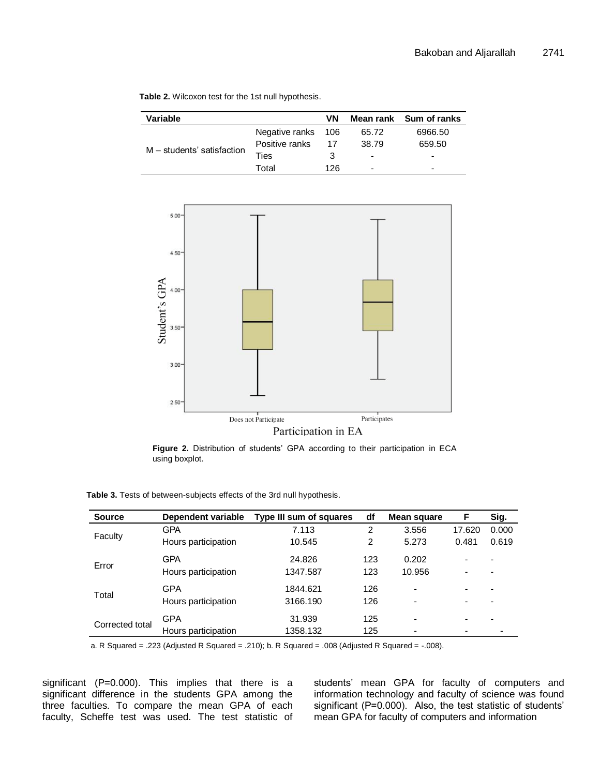| Variable                   |                | VN    | Mean rank | <b>Sum of ranks</b> |
|----------------------------|----------------|-------|-----------|---------------------|
| M – students' satisfaction | Negative ranks | - 106 | 65.72     | 6966.50             |
|                            | Positive ranks |       | 38.79     | 659.50              |
|                            | Ties           | З     | -         | -                   |
|                            | Total          | 126   | -         | -                   |

**Table 2.** Wilcoxon test for the 1st null hypothesis.



**Figure 2.** Distribution of students' GPA according to their participation in ECA using boxplot.

**Table 3.** Tests of between-subjects effects of the 3rd null hypothesis.

| <b>Source</b>   | Dependent variable  | Type III sum of squares | df  | Mean square              | F                        | Sig.                     |
|-----------------|---------------------|-------------------------|-----|--------------------------|--------------------------|--------------------------|
| Faculty         | <b>GPA</b>          | 7.113                   | 2   | 3.556                    | 17.620                   | 0.000                    |
|                 | Hours participation | 10.545                  | 2   | 5.273                    | 0.481                    | 0.619                    |
| Error           | <b>GPA</b>          | 24.826                  | 123 | 0.202                    |                          | $\overline{\phantom{0}}$ |
|                 | Hours participation | 1347.587                | 123 | 10.956                   |                          | $\overline{\phantom{0}}$ |
| Total           | GPA                 | 1844.621                | 126 | $\overline{\phantom{0}}$ | $\overline{\phantom{0}}$ | $\overline{\phantom{0}}$ |
|                 | Hours participation | 3166.190                | 126 | $\overline{\phantom{0}}$ |                          | $\overline{\phantom{0}}$ |
| Corrected total | GPA                 | 31.939                  | 125 | $\overline{\phantom{0}}$ |                          | $\overline{\phantom{0}}$ |
|                 | Hours participation | 1358.132                | 125 |                          |                          |                          |
|                 |                     |                         |     |                          |                          |                          |

a. R Squared = .223 (Adjusted R Squared = .210); b. R Squared = .008 (Adjusted R Squared = -.008).

significant (P=0.000). This implies that there is a significant difference in the students GPA among the three faculties. To compare the mean GPA of each faculty, Scheffe test was used. The test statistic of students' mean GPA for faculty of computers and information technology and faculty of science was found significant (P=0.000). Also, the test statistic of students' mean GPA for faculty of computers and information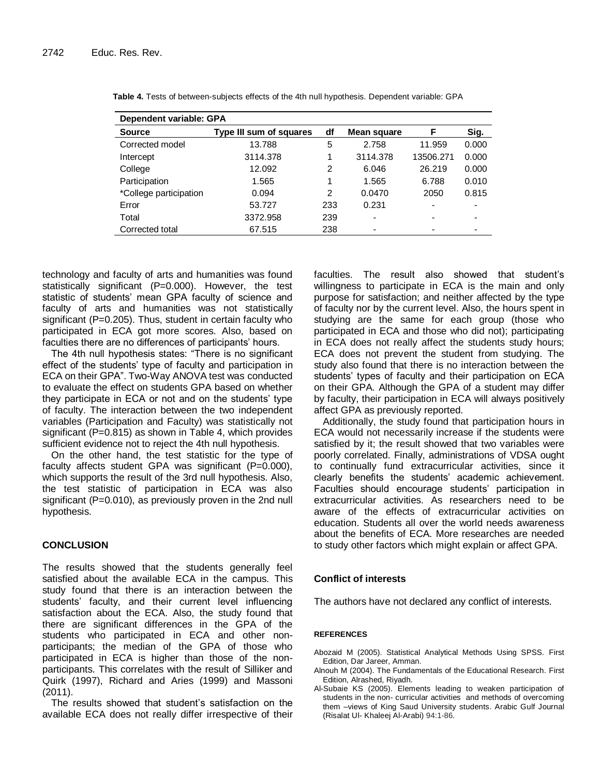| Dependent variable: GPA |                         |                |                          |           |       |  |  |
|-------------------------|-------------------------|----------------|--------------------------|-----------|-------|--|--|
| <b>Source</b>           | Type III sum of squares | df             | Mean square              | F         | Sig.  |  |  |
| Corrected model         | 13.788                  | 5              | 2.758                    | 11.959    | 0.000 |  |  |
| Intercept               | 3114.378                | 1              | 3114.378                 | 13506.271 | 0.000 |  |  |
| College                 | 12.092                  | 2              | 6.046                    | 26.219    | 0.000 |  |  |
| Participation           | 1.565                   | 1              | 1.565                    | 6.788     | 0.010 |  |  |
| *College participation  | 0.094                   | $\overline{2}$ | 0.0470                   | 2050      | 0.815 |  |  |
| Error                   | 53.727                  | 233            | 0.231                    |           |       |  |  |
| Total                   | 3372.958                | 239            |                          |           |       |  |  |
| Corrected total         | 67.515                  | 238            | $\overline{\phantom{0}}$ |           | -     |  |  |

**Table 4.** Tests of between-subjects effects of the 4th null hypothesis. Dependent variable: GPA

technology and faculty of arts and humanities was found statistically significant (P=0.000). However, the test statistic of students' mean GPA faculty of science and faculty of arts and humanities was not statistically significant (P=0.205). Thus, student in certain faculty who participated in ECA got more scores. Also, based on faculties there are no differences of participants' hours.

The 4th null hypothesis states: "There is no significant effect of the students' type of faculty and participation in ECA on their GPA". Two-Way ANOVA test was conducted to evaluate the effect on students GPA based on whether they participate in ECA or not and on the students' type of faculty. The interaction between the two independent variables (Participation and Faculty) was statistically not significant (P=0.815) as shown in Table 4, which provides sufficient evidence not to reject the 4th null hypothesis.

On the other hand, the test statistic for the type of faculty affects student GPA was significant (P=0.000), which supports the result of the 3rd null hypothesis. Also, the test statistic of participation in ECA was also significant (P=0.010), as previously proven in the 2nd null hypothesis.

## **CONCLUSION**

The results showed that the students generally feel satisfied about the available ECA in the campus. This study found that there is an interaction between the students' faculty, and their current level influencing satisfaction about the ECA. Also, the study found that there are significant differences in the GPA of the students who participated in ECA and other nonparticipants; the median of the GPA of those who participated in ECA is higher than those of the nonparticipants. This correlates with the result of Silliker and Quirk (1997), Richard and Aries (1999) and Massoni (2011).

The results showed that student's satisfaction on the available ECA does not really differ irrespective of their faculties. The result also showed that student's willingness to participate in ECA is the main and only purpose for satisfaction; and neither affected by the type of faculty nor by the current level. Also, the hours spent in studying are the same for each group (those who participated in ECA and those who did not); participating in ECA does not really affect the students study hours; ECA does not prevent the student from studying. The study also found that there is no interaction between the students' types of faculty and their participation on ECA on their GPA. Although the GPA of a student may differ by faculty, their participation in ECA will always positively affect GPA as previously reported.

Additionally, the study found that participation hours in ECA would not necessarily increase if the students were satisfied by it; the result showed that two variables were poorly correlated. Finally, administrations of VDSA ought to continually fund extracurricular activities, since it clearly benefits the students' academic achievement. Faculties should encourage students' participation in extracurricular activities. As researchers need to be aware of the effects of extracurricular activities on education. Students all over the world needs awareness about the benefits of ECA. More researches are needed to study other factors which might explain or affect GPA.

#### **Conflict of interests**

The authors have not declared any conflict of interests.

#### **REFERENCES**

- Abozaid M (2005). Statistical Analytical Methods Using SPSS. First Edition, Dar Jareer, Amman.
- Alnouh M (2004). The Fundamentals of the Educational Research. First Edition, Alrashed, Riyadh.
- Al-Subaie KS (2005). Elements leading to weaken participation of students in the non- curricular activities and methods of overcoming them –views of King Saud University students. Arabic Gulf Journal (Risalat Ul- Khaleej Al-Arabi) 94:1-86.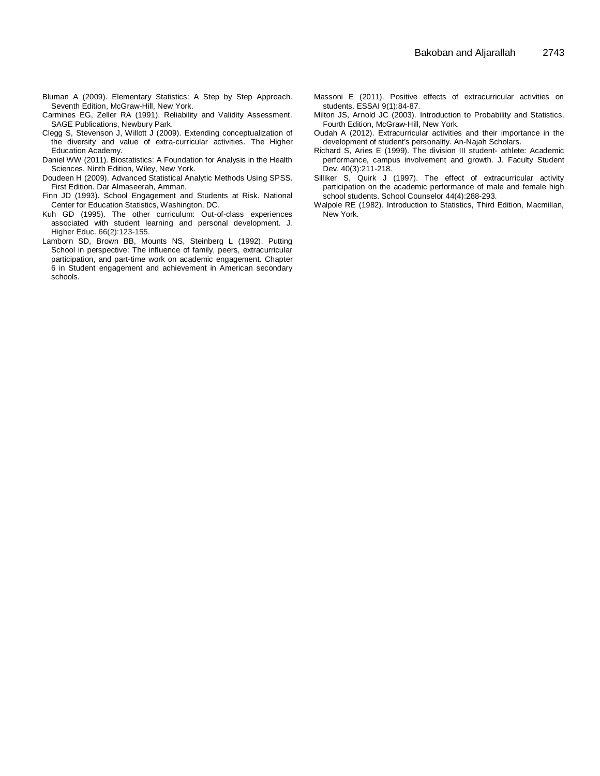- Bluman A (2009). Elementary Statistics: A Step by Step Approach. Seventh Edition, McGraw-Hill, New York.
- Carmines EG, Zeller RA (1991). Reliability and Validity Assessment. SAGE Publications, Newbury Park.
- Clegg S, Stevenson J, Willott J (2009). Extending conceptualization of the diversity and value of extra-curricular activities. The Higher Education Academy.
- Daniel WW (2011). Biostatistics: A Foundation for Analysis in the Health Sciences. Ninth Edition, Wiley, New York.
- Doudeen H (2009). Advanced Statistical Analytic Methods Using SPSS. First Edition. Dar Almaseerah, Amman.
- Finn JD (1993). School Engagement and Students at Risk*.* National Center for Education Statistics, Washington, DC.
- Kuh GD (1995). The other curriculum: Out-of-class experiences associated with student learning and personal development. J. Higher Educ. 66(2):123-155.
- Lamborn SD, Brown BB, Mounts NS, Steinberg L (1992). Putting School in perspective: The influence of family, peers, extracurricular participation, and part-time work on academic engagement. Chapter 6 in Student engagement and achievement in American secondary schools*.*
- Massoni E (2011). Positive effects of extracurricular activities on students. ESSAI 9(1):84-87.
- Milton JS, Arnold JC (2003). Introduction to Probability and Statistics, Fourth Edition, McGraw-Hill, New York.
- Oudah A (2012). Extracurricular activities and their importance in the development of student's personality. An-Najah Scholars.
- Richard S, Aries E (1999). The division III student- athlete: Academic performance, campus involvement and growth. J. Faculty Student Dev. 40(3):211-218.
- Silliker S, Quirk J (1997). The effect of extracurricular activity participation on the academic performance of male and female high school students. School Counselor 44(4):288-293.
- Walpole RE (1982). Introduction to Statistics, Third Edition, Macmillan, New York.